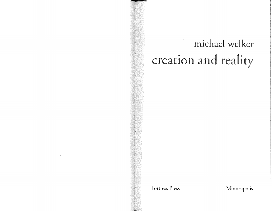# michael welker creation and reality

**Fortress Press Minneapolis**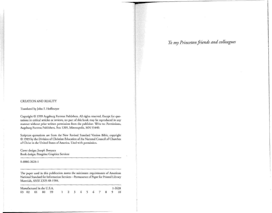#### CREATION AND REALITY

Translated by John F. Hoffmeyer

Copyright © 1999 Augsburg Fortress Publishers. All rights reserved. Except for quotations in critical articles or reviews, no part of this book may be reproduced in any manner without prior written permission from the publisher. Write to: Permissions, Augsburg Fortress Publishers, Box 1209, Minneapolis, MN 55440.

Scripture quotations are from the New Revised Standard Version Bible, copyright © 1989 by the Division of Christian Education of the National Council of Churches of Christ in the United States of America. Used with permission.

Cover design: Joseph Bonyata Book design: Peregrine Graphics Services

0-8006-2628-1

The paper used in this publication meets the minimum requirements of American National Standard for Information Services-Permanence of Paper for Printed Library Materials, ANSI Z329.48-1984.

| Manufactured in the U.S.A. |  |  |  |                                     |  |  |  |  |  |  | 1-2628 |  |  |
|----------------------------|--|--|--|-------------------------------------|--|--|--|--|--|--|--------|--|--|
|                            |  |  |  | 03 02 01 00 99 1 2 3 4 5 6 7 8 9 10 |  |  |  |  |  |  |        |  |  |

# To *my Princeton friends and colleagues*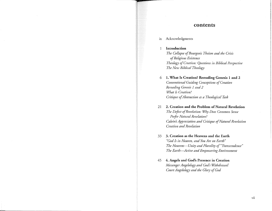## contents

ix Acknowledgments

**1 Introduction** 

*The Collapse of Bourgeois Theism and the Crisis of Religious Existence Theology of Creation: Questions in Biblical Perspective The New Biblical Theology* 

6 **1. What Is Creation? Rereading Genesis 1 and 2**  *Conventional Guiding Conceptions of Creation Rereading Genesis 1 and 2 What Is Creation? Critique of Abstraction as a Theological Task* 

21 **2. Creation and the Problem of Natural Revelation**  *The Defect of Revelation: Why Does Common Sense Prefer Natural Revelation? Calvin's Appreciation and Critique of Natural Revelation Creation and Revelation* 

- 33 **3. Creation as the Heavens and the Earth**  *"God Is in Heaven, and You Are on Earth" The Heavens-Unity and Plurality of"Transcendence" The Earth-Active and Empowering Environment*
- 45 **4. Angels and God's Presence in Creation**  *Messenger Angelology and God's Withdrawal Court Angelo logy and the Glory of God*

Vil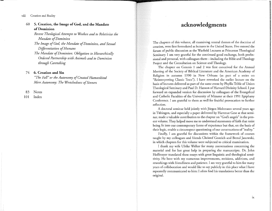viii Creation and Reality

## 60 5. **Creation, the Image of God, and the Mandate of Dominion**

*Recent Theological Attempts to Weaken and to Relativize the Mandate of Dominion* 

*The Image of God, the Mandate of Dominion, and Sexual Differentiation of Humans* 

*The Mandate of Dominion: Obligation to Hierarchically Ordered Partnership with Animals and to Dominion through Caretaking* 

## 74 **6. Creation and Sin**

*"The Fall" or the Autonomy of Created Humankind Mere Autonomy: The Wretchedness of Sinners* 

83 Notes

**101** Index

# acknowledgments

The chapters of this volume, all examining central themes of the doctrine of creation, were first formulated as lectures in the United States. Five entered the forum of public discussion as the Warfield Lectures at Princeton Theological Seminary. I am very grateful for the continued good exchange, both professional and personal, with colleagues there-including the Bible and Theology Project and the Consultation on Science and Theology.

The chapter on Genesis 1 and 2 was first conceived for the Annual Meeting of the Society of Biblical Literature and the American Academy of Religion in autumn 1990 in New Orleans (as part of a series on "Reinterpreting Classic Texts"). I have reworked the earlier lecture on the basis of lectures delivered as part of the same event by Phyllis Trible of Union Theological Seminary and Paul D. Hanson of Harvard Divinity School. I put forward an expanded version for discussion by colleagues of the Evangelical and Catholic Faculties of the University of Münster at their 1991 Epiphany Conference. I am grateful to them as well for fruitful provocation to further reflection.

A doctoral seminar held jointly with Jürgen Moltmann several years ago in Tubingen, and especially a paper delivered by Hartmut Gese at that seminar, made a valuable contribution to the chapter on "God's angels" in the present volume. They helped move me to understand statements of faith that resist being fit into our contemporary forms of experience but that, on the basis of their logic, enable a circumspect questioning of our constructions of "reality."

Finally, I am grateful for discussions within the framework of courses taught by my colleagues and friends Christof Gestrich and Bernd Janowski, in which chapters for this volume were subjected to critical examination.

I thank my wife Ulrike Welker for many conversations concerning the material and for her great help in preparing the manuscripts. Dr. John Hoffmeyer translated these essays with great linguistic and theological sensitivity. He bore with my numerous improvements, revisions, additions, and reworkings with friendliness and patience. I am very grateful to him for many years of collaboration and would like to say publicly in this place what I have repeatedly communicated to him: I often find his translations better than the original.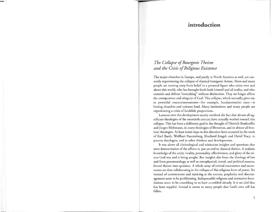# introduction

# *The Collapse of Bourgeois Theism and the Crisis of Religious Existence*

The major churches in Europe, and partly in North America as well, are currently experiencing the collapse of classical bourgeois theism. More and more people are turning away from belief in a personal figure who exists over and above this world, who has brought forth both himself and all reality, and who controls and defines "everything" without distinction. They no longer affirm the omnipotence and ubiquity of God. This collapse, which naturally gives rise to powerful countermovements-for example, fundamentalist ones-is hitting churches and cultures hard. Many institutions and many people are experiencing a crisis of landslide proportions.

Laments over this development mostly overlook the fact that almost all significant theologies of the twentieth century have actually worked toward this collapse. This has been a deliberate goal in the thought of Dietrich Bonhoeffer and Jürgen Moltmann, in many theologies of liberation, and in almost all feminist theologies. At least initial steps in this direction have occurred in the work of Karl Barth, Wolfhart Pannenberg, Eberhard Jüngel, and David Tracy, in process theologies, and in other thinkers and developments.

It was above all christological and trinitarian insights and questions that were determinative of the efforts to put an end to classical theism. A realistic knowledge of the unity, vitality, personality, effectiveness, and glory of the triune God was and is being sought. But insights also from the theology of law and from pneumatology, as well as metaphysical, moral, and political reasons, forced theism into question. A whole array of critical encounters and movements are thus collaborating in the collapse of this religious form of power. Yet instead of contentment and rejoicing at the success, perplexity and discouragement seem to be proliferating. Indispensable religious and normative foundations seem to be crumbling or to have crumbled already. It is no idol that has been toppled. Instead it seems to many people that God's own self has fallen.

 $\mathbf{1}$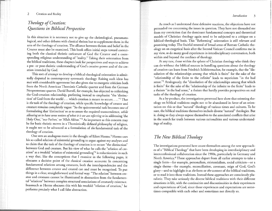### 2 Creation and Reality

# *Theology of Creation: Questions in Biblical Perspective*

In this situation it is necessary not to give up the christological, pneumatological, and other debates with classical theism but to supplement them in the area of the theology of creation. The alliance between theism and belief in the Creator must also be examined. This book offers initial steps toward correcting both the classical theistic caricature of God the Creator and a corresponding religious understanding of "reality." Taking their orientation from the biblical traditions, these chapters look for perspectives and ways to achieve a pre- or post-theistic understanding of God's creative power and of the creation intended by God.

This sort of attempt to develop a biblical-theological orientation is admittedly disputed in contemporary systematic theology. Raising such ideas has met with considerable agreement but also given rise to energetic criticism both from the North American Thomistic Catholic quarter and from the German Neoprotestant quarter. David Burrell, for example, has objected to rethinking the God-creation relationship, preferring instead to emphasize "the 'distinction' of God from the world ... which creation is meant to secure .... "1 That is *the* task of the theology of creation, while specific knowledge of creator and creature remains completely vague: "So the quintessential task becomes one of formulating that 'distinction' *so* as to assure the required transcendence, *while allowing us to have some notion of what it is we are referring to* in addressing 'the Holy One,' 'our Father,' or 'Allah Akbar.'"<sup>2</sup> As important as this concern may be for basic theistic moves in a Thomistically defined philosophy of religion, it ought not to be advanced as a formulation of *the* fundamental task of the theology of creation.

One sees an analogous move in the thought of Eilert Herms. 3 Herms uses his so-called relation of existential grounding to argue against my analyses and to claim that the task of the theology of creation is to secure "the distinction" between God and creature. But his view of what he calls the "relation of creation" as a twofold "relation of existential grounding"<sup>4</sup> is reductionistic in such a way that, like the conceptions that I examine in the following pages, it obscures a decisive point of the classical creation accounts: In concerning fundamental relations among creatures, both the interdependencies and the difference between creator and created can and must be recognized. To put things in a clear, straightforward and formal way: "The relation" between creator and creatures cannot be illuminated in abstraction from the fundamental "relations" between complex structural associations of creaturely existence. Inasmuch as Herms obscures this with his twofold "relation of creation," he performs precisely what I call false abstraction.

As much as I understand these defensive reactions, the objections have not persuaded me concerning the issues in question. They have not dissuaded me from my conviction that the dominant fundamental concepts and theoretical models of Christian theology again need to be subjected to a critique on a biblical-theological basis. This "Reforming" orientation is still relevant and promising today. The fruitful renewal of broad areas of Roman Catholic theology on an exegetical basis after the Second Vatican Council confirms me in my view, as do many good experiences in interdisciplinary conversation, both within and beyond the confines of theology.

At any rate, those within the sphere of Christian theology who think they can do without the biblical sources in handling questions about the theology of creation can learn from Friedrich Schleiermacher, for example, that the "dissolution of the relationships among that which is finite" for the sake of the "relationship of the finite to the infinite" leads to mysticism "in the bad sense."5 Analogously, the "dissolution of the relationships among that which is finite" for the sake of the "relationship of the infinite to the finite" leads to a theism "in the bad sense," a theism that hardly provides perspectives on real tasks of the theology of creation.

As a by-product, the investigations presented here show that orienting theology on biblical traditions ought not to be abandoned in favor of an orientation on this or that "natural" theology of various times and cultures. To be sure, the biblical traditions themselves include diverse "natural" theologies. But in doing so they always expose themselves to the associated conflicts that arise in the search for truth between various rationalities and various understandings of reality.

## *The New Biblical Theology*

The investigations presented here count themselves among the new approaches of a "Biblical Theology'' that have been developing in interdisciplinary and interconfessional collaboration since the 1980s, particularly in Germany and North America.<sup>6</sup> These approaches depart from all earlier attempts to take a single form-for example, personalism, existentialism, social criticism-or a single theme—for example, reconciliation, covenant, reign of God, God's glory-and to highlight it as *the* form or *the* content of the biblical traditions, or to read it into those traditions. Instead these approaches are consciously pluralistic. They take seriously the diverse biblical traditions with their different situations in life, with the continuities and discontinuities in their experiences and expectations of God, since those experiences and expectations are sometimes compatible with each other and sometimes not directly so.